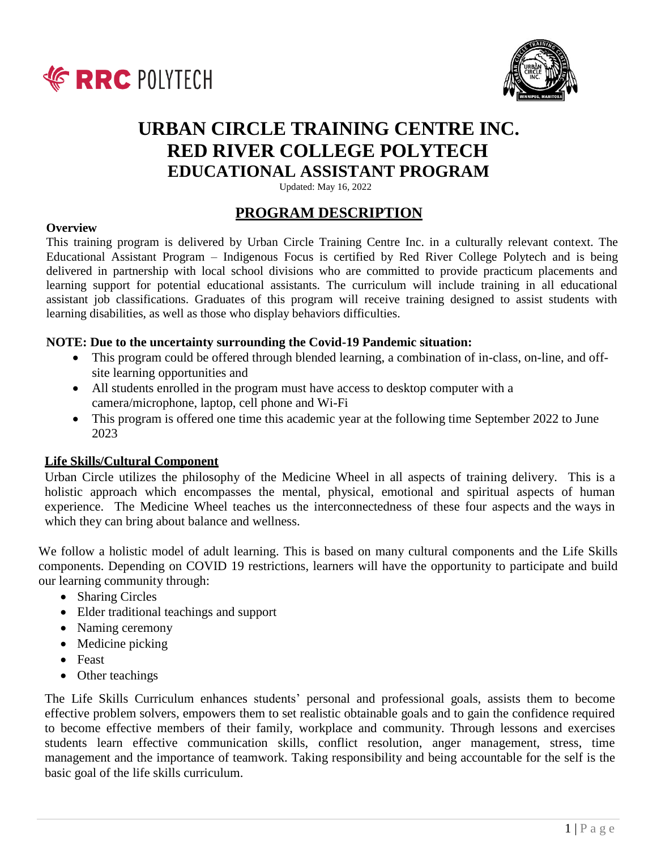



# **URBAN CIRCLE TRAINING CENTRE INC. RED RIVER COLLEGE POLYTECH EDUCATIONAL ASSISTANT PROGRAM**

Updated: May 16, 2022

# **PROGRAM DESCRIPTION**

#### **Overview**

This training program is delivered by Urban Circle Training Centre Inc. in a culturally relevant context. The Educational Assistant Program – Indigenous Focus is certified by Red River College Polytech and is being delivered in partnership with local school divisions who are committed to provide practicum placements and learning support for potential educational assistants. The curriculum will include training in all educational assistant job classifications. Graduates of this program will receive training designed to assist students with learning disabilities, as well as those who display behaviors difficulties.

## **NOTE: Due to the uncertainty surrounding the Covid-19 Pandemic situation:**

- This program could be offered through blended learning, a combination of in-class, on-line, and offsite learning opportunities and
- All students enrolled in the program must have access to desktop computer with a camera/microphone, laptop, cell phone and Wi-Fi
- This program is offered one time this academic year at the following time September 2022 to June 2023

## **Life Skills/Cultural Component**

Urban Circle utilizes the philosophy of the Medicine Wheel in all aspects of training delivery. This is a holistic approach which encompasses the mental, physical, emotional and spiritual aspects of human experience. The Medicine Wheel teaches us the interconnectedness of these four aspects and the ways in which they can bring about balance and wellness.

We follow a holistic model of adult learning. This is based on many cultural components and the Life Skills components. Depending on COVID 19 restrictions, learners will have the opportunity to participate and build our learning community through:

- Sharing Circles
- Elder traditional teachings and support
- Naming ceremony
- Medicine picking
- Feast
- Other teachings

The Life Skills Curriculum enhances students' personal and professional goals, assists them to become effective problem solvers, empowers them to set realistic obtainable goals and to gain the confidence required to become effective members of their family, workplace and community. Through lessons and exercises students learn effective communication skills, conflict resolution, anger management, stress, time management and the importance of teamwork. Taking responsibility and being accountable for the self is the basic goal of the life skills curriculum.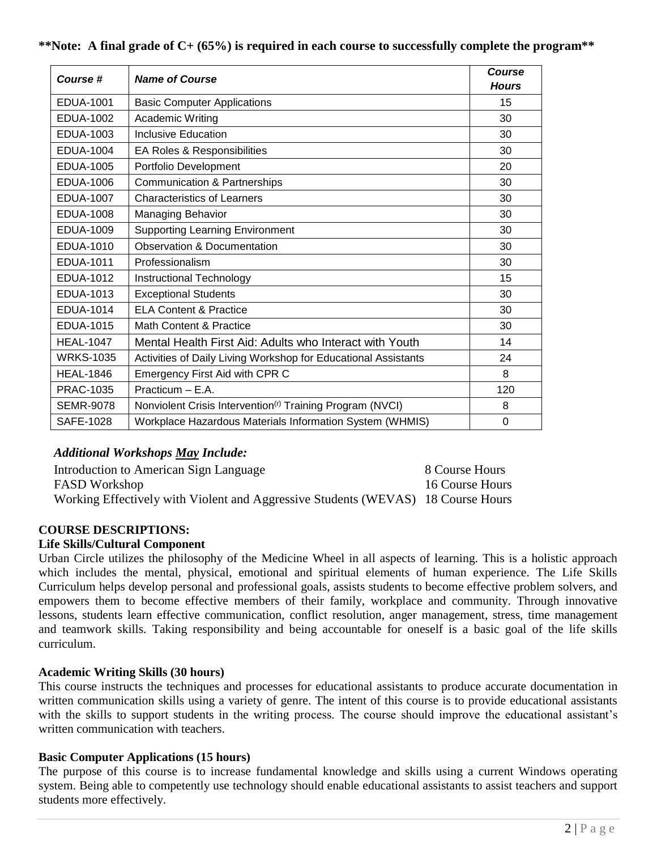| Course #         | <b>Name of Course</b>                                                 | Course       |
|------------------|-----------------------------------------------------------------------|--------------|
|                  |                                                                       | <b>Hours</b> |
| EDUA-1001        | <b>Basic Computer Applications</b>                                    | 15           |
| EDUA-1002        | Academic Writing                                                      | 30           |
| EDUA-1003        | <b>Inclusive Education</b>                                            | 30           |
| <b>EDUA-1004</b> | EA Roles & Responsibilities                                           | 30           |
| <b>EDUA-1005</b> | Portfolio Development                                                 | 20           |
| <b>EDUA-1006</b> | <b>Communication &amp; Partnerships</b>                               | 30           |
| <b>EDUA-1007</b> | <b>Characteristics of Learners</b>                                    | 30           |
| <b>EDUA-1008</b> | <b>Managing Behavior</b>                                              | 30           |
| <b>EDUA-1009</b> | <b>Supporting Learning Environment</b>                                | 30           |
| EDUA-1010        | <b>Observation &amp; Documentation</b>                                | 30           |
| EDUA-1011        | Professionalism                                                       | 30           |
| <b>EDUA-1012</b> | Instructional Technology                                              | 15           |
| EDUA-1013        | <b>Exceptional Students</b>                                           | 30           |
| EDUA-1014        | <b>ELA Content &amp; Practice</b>                                     | 30           |
| <b>EDUA-1015</b> | Math Content & Practice                                               | 30           |
| <b>HEAL-1047</b> | Mental Health First Aid: Adults who Interact with Youth               | 14           |
| <b>WRKS-1035</b> | Activities of Daily Living Workshop for Educational Assistants        | 24           |
| <b>HEAL-1846</b> | Emergency First Aid with CPR C                                        | 8            |
| PRAC-1035        | Practicum - E.A.                                                      | 120          |
| <b>SEMR-9078</b> | Nonviolent Crisis Intervention <sup>(r)</sup> Training Program (NVCI) | 8            |
| SAFE-1028        | Workplace Hazardous Materials Information System (WHMIS)              | $\mathbf 0$  |

## **\*\*Note: A final grade of C+ (65%) is required in each course to successfully complete the program\*\***

# *Additional Workshops May Include:*

Introduction to American Sign Language 8 Course Hours FASD Workshop 16 Course Hours Working Effectively with Violent and Aggressive Students (WEVAS) 18 Course Hours

# **COURSE DESCRIPTIONS:**

## **Life Skills/Cultural Component**

Urban Circle utilizes the philosophy of the Medicine Wheel in all aspects of learning. This is a holistic approach which includes the mental, physical, emotional and spiritual elements of human experience. The Life Skills Curriculum helps develop personal and professional goals, assists students to become effective problem solvers, and empowers them to become effective members of their family, workplace and community. Through innovative lessons, students learn effective communication, conflict resolution, anger management, stress, time management and teamwork skills. Taking responsibility and being accountable for oneself is a basic goal of the life skills curriculum.

## **Academic Writing Skills (30 hours)**

This course instructs the techniques and processes for educational assistants to produce accurate documentation in written communication skills using a variety of genre. The intent of this course is to provide educational assistants with the skills to support students in the writing process. The course should improve the educational assistant's written communication with teachers.

## **Basic Computer Applications (15 hours)**

The purpose of this course is to increase fundamental knowledge and skills using a current Windows operating system. Being able to competently use technology should enable educational assistants to assist teachers and support students more effectively.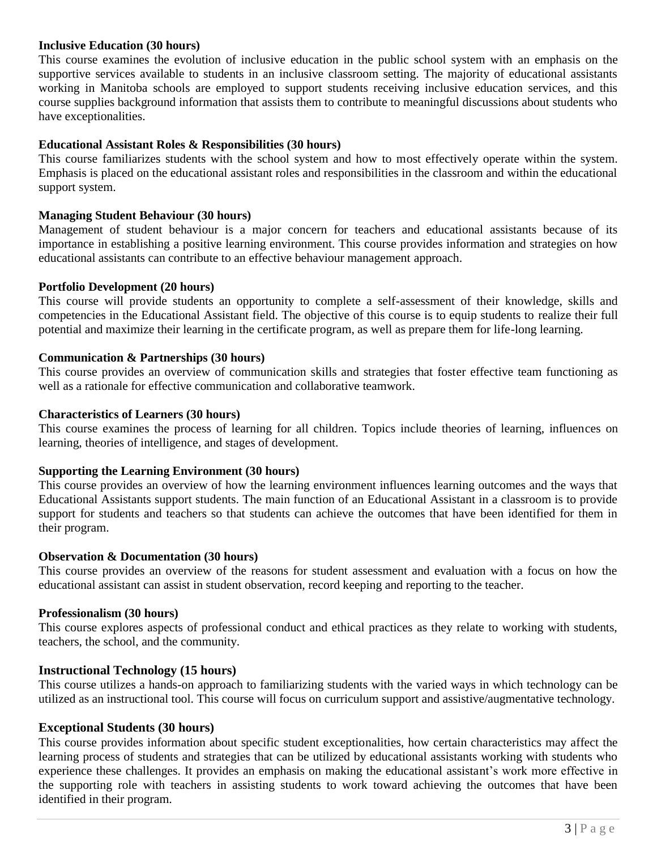#### **Inclusive Education (30 hours)**

This course examines the evolution of inclusive education in the public school system with an emphasis on the supportive services available to students in an inclusive classroom setting. The majority of educational assistants working in Manitoba schools are employed to support students receiving inclusive education services, and this course supplies background information that assists them to contribute to meaningful discussions about students who have exceptionalities.

### **Educational Assistant Roles & Responsibilities (30 hours)**

This course familiarizes students with the school system and how to most effectively operate within the system. Emphasis is placed on the educational assistant roles and responsibilities in the classroom and within the educational support system.

#### **Managing Student Behaviour (30 hours)**

Management of student behaviour is a major concern for teachers and educational assistants because of its importance in establishing a positive learning environment. This course provides information and strategies on how educational assistants can contribute to an effective behaviour management approach.

#### **Portfolio Development (20 hours)**

This course will provide students an opportunity to complete a self-assessment of their knowledge, skills and competencies in the Educational Assistant field. The objective of this course is to equip students to realize their full potential and maximize their learning in the certificate program, as well as prepare them for life-long learning.

#### **Communication & Partnerships (30 hours)**

This course provides an overview of communication skills and strategies that foster effective team functioning as well as a rationale for effective communication and collaborative teamwork.

#### **Characteristics of Learners (30 hours)**

This course examines the process of learning for all children. Topics include theories of learning, influences on learning, theories of intelligence, and stages of development.

#### **Supporting the Learning Environment (30 hours)**

This course provides an overview of how the learning environment influences learning outcomes and the ways that Educational Assistants support students. The main function of an Educational Assistant in a classroom is to provide support for students and teachers so that students can achieve the outcomes that have been identified for them in their program.

#### **Observation & Documentation (30 hours)**

This course provides an overview of the reasons for student assessment and evaluation with a focus on how the educational assistant can assist in student observation, record keeping and reporting to the teacher.

#### **Professionalism (30 hours)**

This course explores aspects of professional conduct and ethical practices as they relate to working with students, teachers, the school, and the community.

#### **Instructional Technology (15 hours)**

This course utilizes a hands-on approach to familiarizing students with the varied ways in which technology can be utilized as an instructional tool. This course will focus on curriculum support and assistive/augmentative technology.

#### **Exceptional Students (30 hours)**

This course provides information about specific student exceptionalities, how certain characteristics may affect the learning process of students and strategies that can be utilized by educational assistants working with students who experience these challenges. It provides an emphasis on making the educational assistant's work more effective in the supporting role with teachers in assisting students to work toward achieving the outcomes that have been identified in their program.